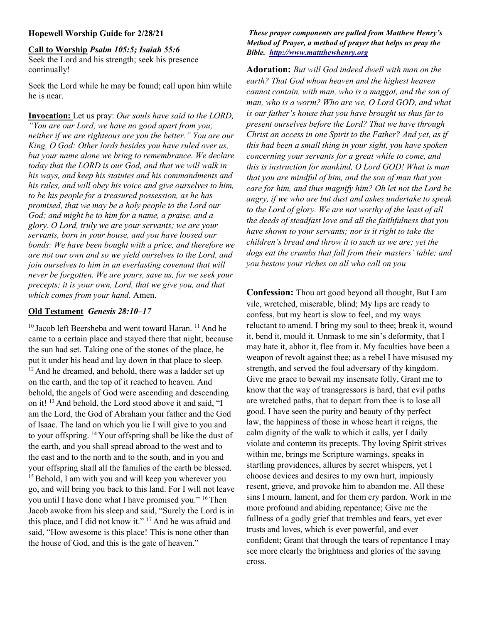#### Hopewell Worship Guide for 2/28/21

Call to Worship Psalm 105:5; Isaiah 55:6 Seek the Lord and his strength; seek his presence continually!

Seek the Lord while he may be found; call upon him while he is near.

Invocation: Let us pray: Our souls have said to the LORD, "You are our Lord, we have no good apart from you; neither if we are righteous are you the better." You are our King, O God: Other lords besides you have ruled over us, but your name alone we bring to remembrance. We declare today that the LORD is our God, and that we will walk in his ways, and keep his statutes and his commandments and his rules, and will obey his voice and give ourselves to him, to be his people for a treasured possession, as he has promised, that we may be a holy people to the Lord our God; and might be to him for a name, a praise, and a glory. O Lord, truly we are your servants; we are your servants, born in your house, and you have loosed our bonds: We have been bought with a price, and therefore we are not our own and so we yield ourselves to the Lord, and join ourselves to him in an everlasting covenant that will never be forgotten. We are yours, save us, for we seek your precepts; it is your own, Lord, that we give you, and that which comes from your hand. Amen.

# Old Testament Genesis 28:10–17

<sup>10</sup> Jacob left Beersheba and went toward Haran.<sup>11</sup> And he came to a certain place and stayed there that night, because the sun had set. Taking one of the stones of the place, he put it under his head and lay down in that place to sleep.  $12$  And he dreamed, and behold, there was a ladder set up on the earth, and the top of it reached to heaven. And behold, the angels of God were ascending and descending on it! <sup>13</sup> And behold, the Lord stood above it and said, "I am the Lord, the God of Abraham your father and the God of Isaac. The land on which you lie I will give to you and to your offspring. <sup>14</sup>Your offspring shall be like the dust of the earth, and you shall spread abroad to the west and to the east and to the north and to the south, and in you and your offspring shall all the families of the earth be blessed.  $15$  Behold, I am with you and will keep you wherever you go, and will bring you back to this land. For I will not leave you until I have done what I have promised you." <sup>16</sup> Then Jacob awoke from his sleep and said, "Surely the Lord is in this place, and I did not know it."<sup>17</sup> And he was afraid and said, "How awesome is this place! This is none other than the house of God, and this is the gate of heaven."

# These prayer components are pulled from Matthew Henry's Method of Prayer, a method of prayer that helps us pray the Bible. http://www.mattthewhenry.org

Adoration: But will God indeed dwell with man on the earth? That God whom heaven and the highest heaven cannot contain, with man, who is a maggot, and the son of man, who is a worm? Who are we, O Lord GOD, and what is our father's house that you have brought us thus far to present ourselves before the Lord? That we have through Christ an access in one Spirit to the Father? And yet, as if this had been a small thing in your sight, you have spoken concerning your servants for a great while to come, and this is instruction for mankind, O Lord GOD! What is man that you are mindful of him, and the son of man that you care for him, and thus magnify him? Oh let not the Lord be angry, if we who are but dust and ashes undertake to speak to the Lord of glory. We are not worthy of the least of all the deeds of steadfast love and all the faithfulness that you have shown to your servants; nor is it right to take the children's bread and throw it to such as we are; yet the dogs eat the crumbs that fall from their masters' table; and you bestow your riches on all who call on you

Confession: Thou art good beyond all thought, But I am vile, wretched, miserable, blind; My lips are ready to confess, but my heart is slow to feel, and my ways reluctant to amend. I bring my soul to thee; break it, wound it, bend it, mould it. Unmask to me sin's deformity, that I may hate it, abhor it, flee from it. My faculties have been a weapon of revolt against thee; as a rebel I have misused my strength, and served the foul adversary of thy kingdom. Give me grace to bewail my insensate folly, Grant me to know that the way of transgressors is hard, that evil paths are wretched paths, that to depart from thee is to lose all good. I have seen the purity and beauty of thy perfect law, the happiness of those in whose heart it reigns, the calm dignity of the walk to which it calls, yet I daily violate and contemn its precepts. Thy loving Spirit strives within me, brings me Scripture warnings, speaks in startling providences, allures by secret whispers, yet I choose devices and desires to my own hurt, impiously resent, grieve, and provoke him to abandon me. All these sins I mourn, lament, and for them cry pardon. Work in me more profound and abiding repentance; Give me the fullness of a godly grief that trembles and fears, yet ever trusts and loves, which is ever powerful, and ever confident; Grant that through the tears of repentance I may see more clearly the brightness and glories of the saving cross.